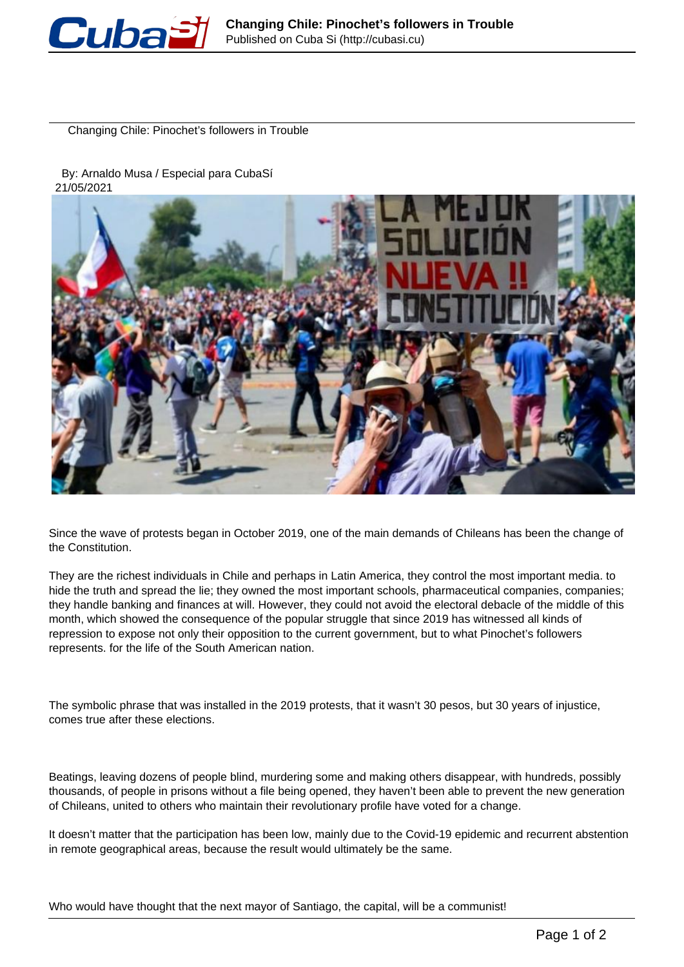

Changing Chile: Pinochet's followers in Trouble

 By: Arnaldo Musa / Especial para CubaSí 21/05/2021



Since the wave of protests began in October 2019, one of the main demands of Chileans has been the change of the Constitution.

They are the richest individuals in Chile and perhaps in Latin America, they control the most important media. to hide the truth and spread the lie; they owned the most important schools, pharmaceutical companies, companies; they handle banking and finances at will. However, they could not avoid the electoral debacle of the middle of this month, which showed the consequence of the popular struggle that since 2019 has witnessed all kinds of repression to expose not only their opposition to the current government, but to what Pinochet's followers represents. for the life of the South American nation.

The symbolic phrase that was installed in the 2019 protests, that it wasn't 30 pesos, but 30 years of injustice, comes true after these elections.

Beatings, leaving dozens of people blind, murdering some and making others disappear, with hundreds, possibly thousands, of people in prisons without a file being opened, they haven't been able to prevent the new generation of Chileans, united to others who maintain their revolutionary profile have voted for a change.

It doesn't matter that the participation has been low, mainly due to the Covid-19 epidemic and recurrent abstention in remote geographical areas, because the result would ultimately be the same.

Who would have thought that the next mayor of Santiago, the capital, will be a communist!